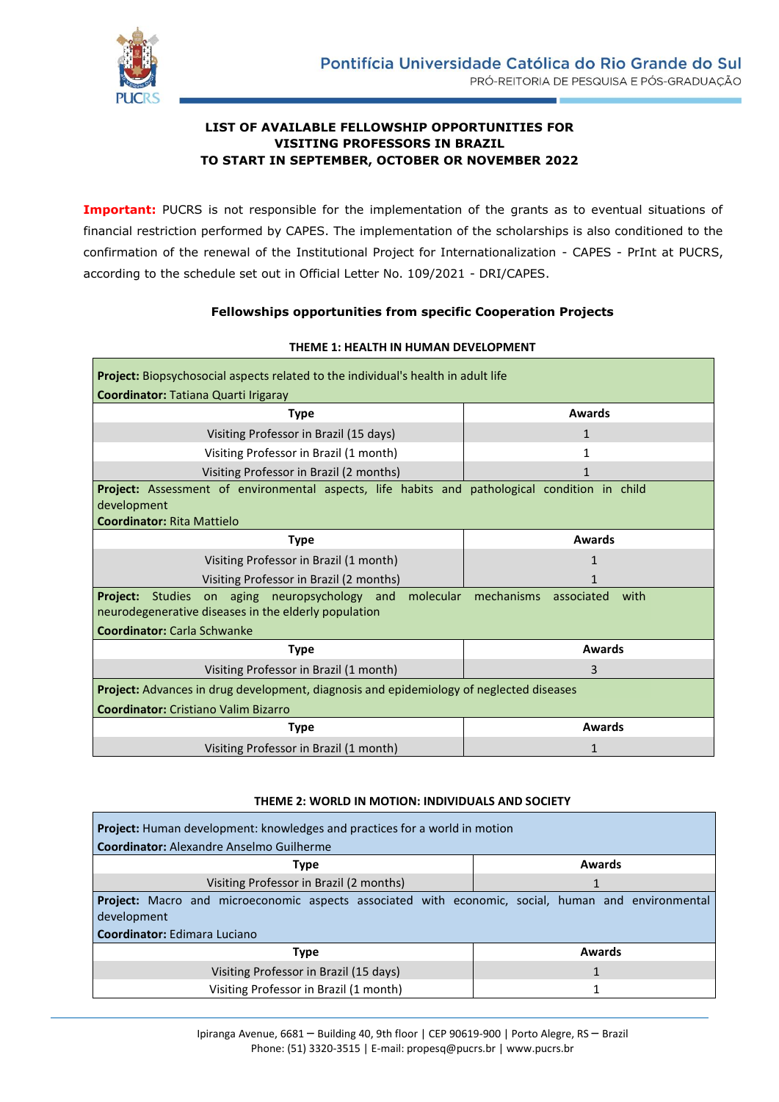

## **LIST OF AVAILABLE FELLOWSHIP OPPORTUNITIES FOR VISITING PROFESSORS IN BRAZIL TO START IN SEPTEMBER, OCTOBER OR NOVEMBER 2022**

**Important:** PUCRS is not responsible for the implementation of the grants as to eventual situations of financial restriction performed by CAPES. The implementation of the scholarships is also conditioned to the confirmation of the renewal of the Institutional Project for Internationalization - CAPES - PrInt at PUCRS, according to the schedule set out in Official Letter No. 109/2021 - DRI/CAPES.

### **Fellowships opportunities from specific Cooperation Projects**

| Project: Biopsychosocial aspects related to the individual's health in adult life             |                               |  |
|-----------------------------------------------------------------------------------------------|-------------------------------|--|
| Coordinator: Tatiana Quarti Irigaray                                                          |                               |  |
| <b>Type</b>                                                                                   | <b>Awards</b>                 |  |
| Visiting Professor in Brazil (15 days)                                                        | $\mathbf{1}$                  |  |
| Visiting Professor in Brazil (1 month)                                                        | 1                             |  |
| Visiting Professor in Brazil (2 months)                                                       |                               |  |
| Project: Assessment of environmental aspects, life habits and pathological condition in child |                               |  |
| development                                                                                   |                               |  |
| <b>Coordinator: Rita Mattielo</b>                                                             |                               |  |
| <b>Type</b>                                                                                   | <b>Awards</b>                 |  |
| Visiting Professor in Brazil (1 month)                                                        | 1                             |  |
| Visiting Professor in Brazil (2 months)                                                       | 1                             |  |
| <b>Project:</b> Studies on aging neuropsychology and molecular                                | mechanisms associated<br>with |  |
| neurodegenerative diseases in the elderly population                                          |                               |  |
| <b>Coordinator: Carla Schwanke</b>                                                            |                               |  |
| <b>Type</b>                                                                                   | <b>Awards</b>                 |  |
| Visiting Professor in Brazil (1 month)                                                        | 3                             |  |
| Project: Advances in drug development, diagnosis and epidemiology of neglected diseases       |                               |  |
| <b>Coordinator:</b> Cristiano Valim Bizarro                                                   |                               |  |
| <b>Type</b>                                                                                   | <b>Awards</b>                 |  |
| Visiting Professor in Brazil (1 month)                                                        | 1                             |  |

#### **THEME 1: HEALTH IN HUMAN DEVELOPMENT**

#### **THEME 2: WORLD IN MOTION: INDIVIDUALS AND SOCIETY**

| <b>Project:</b> Human development: knowledges and practices for a world in motion                         |               |  |
|-----------------------------------------------------------------------------------------------------------|---------------|--|
| <b>Coordinator:</b> Alexandre Anselmo Guilherme                                                           |               |  |
| <b>Type</b>                                                                                               | <b>Awards</b> |  |
| Visiting Professor in Brazil (2 months)                                                                   |               |  |
| <b>Project:</b> Macro and microeconomic aspects associated with economic, social, human and environmental |               |  |
| development                                                                                               |               |  |
| Coordinator: Edimara Luciano                                                                              |               |  |
| <b>Type</b>                                                                                               | Awards        |  |
| Visiting Professor in Brazil (15 days)                                                                    |               |  |
| Visiting Professor in Brazil (1 month)                                                                    |               |  |